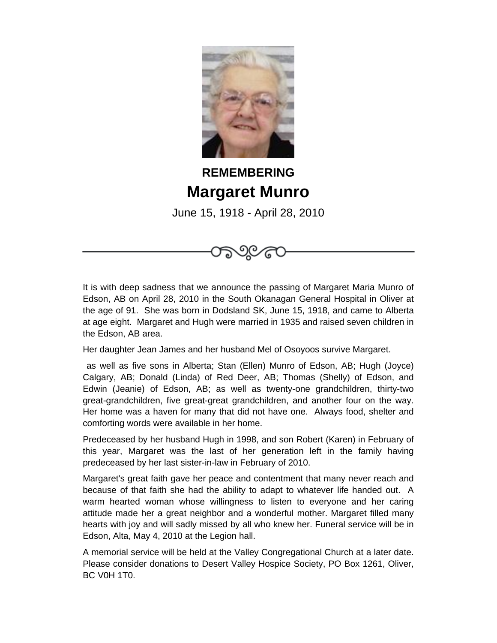

## **REMEMBERING Margaret Munro**

June 15, 1918 - April 28, 2010



Her daughter Jean James and her husband Mel of Osoyoos survive Margaret.

 as well as five sons in Alberta; Stan (Ellen) Munro of Edson, AB; Hugh (Joyce) Calgary, AB; Donald (Linda) of Red Deer, AB; Thomas (Shelly) of Edson, and Edwin (Jeanie) of Edson, AB; as well as twenty-one grandchildren, thirty-two great-grandchildren, five great-great grandchildren, and another four on the way. Her home was a haven for many that did not have one. Always food, shelter and comforting words were available in her home.

Predeceased by her husband Hugh in 1998, and son Robert (Karen) in February of this year, Margaret was the last of her generation left in the family having predeceased by her last sister-in-law in February of 2010.

Margaret's great faith gave her peace and contentment that many never reach and because of that faith she had the ability to adapt to whatever life handed out. A warm hearted woman whose willingness to listen to everyone and her caring attitude made her a great neighbor and a wonderful mother. Margaret filled many hearts with joy and will sadly missed by all who knew her. Funeral service will be in Edson, Alta, May 4, 2010 at the Legion hall.

A memorial service will be held at the Valley Congregational Church at a later date. Please consider donations to Desert Valley Hospice Society, PO Box 1261, Oliver, BC V0H 1T0.